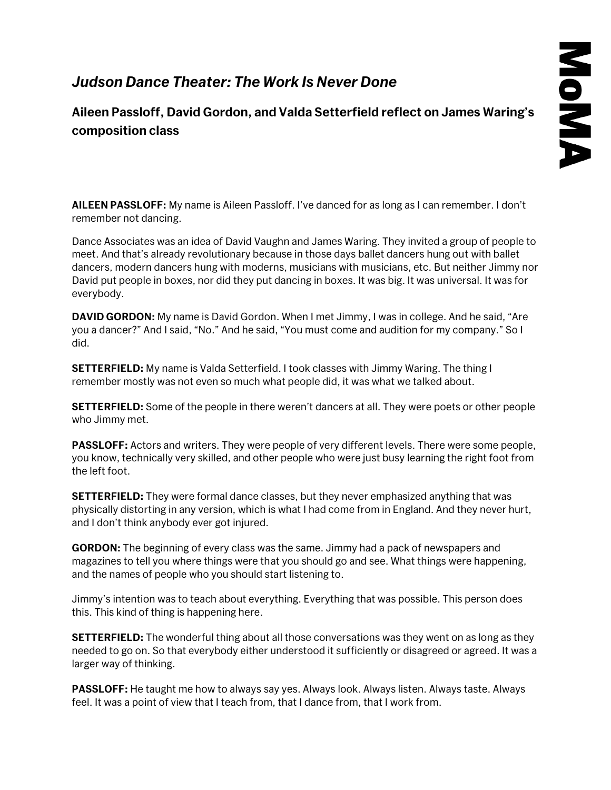## *Judson Dance Theater: The Work Is Never Done*

**Aileen Passloff, David Gordon, and Valda Setterfield reflect on James Waring's composition class**

**AILEEN PASSLOFF:** My name is Aileen Passloff. I've danced for as long as I can remember. I don't remember not dancing.

Dance Associates was an idea of David Vaughn and James Waring. They invited a group of people to meet. And that's already revolutionary because in those days ballet dancers hung out with ballet dancers, modern dancers hung with moderns, musicians with musicians, etc. But neither Jimmy nor David put people in boxes, nor did they put dancing in boxes. It was big. It was universal. It was for everybody.

**DAVID GORDON:** My name is David Gordon. When I met Jimmy, I was in college. And he said, "Are you a dancer?" And I said, "No." And he said, "You must come and audition for my company." So I did.

**SETTERFIELD:** My name is Valda Setterfield. I took classes with Jimmy Waring. The thing I remember mostly was not even so much what people did, it was what we talked about.

**SETTERFIELD:** Some of the people in there weren't dancers at all. They were poets or other people who Jimmy met.

**PASSLOFF:** Actors and writers. They were people of very different levels. There were some people, you know, technically very skilled, and other people who were just busy learning the right foot from the left foot.

**SETTERFIELD:** They were formal dance classes, but they never emphasized anything that was physically distorting in any version, which is what I had come from in England. And they never hurt, and I don't think anybody ever got injured.

**GORDON:** The beginning of every class was the same. Jimmy had a pack of newspapers and magazines to tell you where things were that you should go and see. What things were happening, and the names of people who you should start listening to.

Jimmy's intention was to teach about everything. Everything that was possible. This person does this. This kind of thing is happening here.

**SETTERFIELD:** The wonderful thing about all those conversations was they went on as long as they needed to go on. So that everybody either understood it sufficiently or disagreed or agreed. It was a larger way of thinking.

**PASSLOFF:** He taught me how to always say yes. Always look. Always listen. Always taste. Always feel. It was a point of view that I teach from, that I dance from, that I work from.